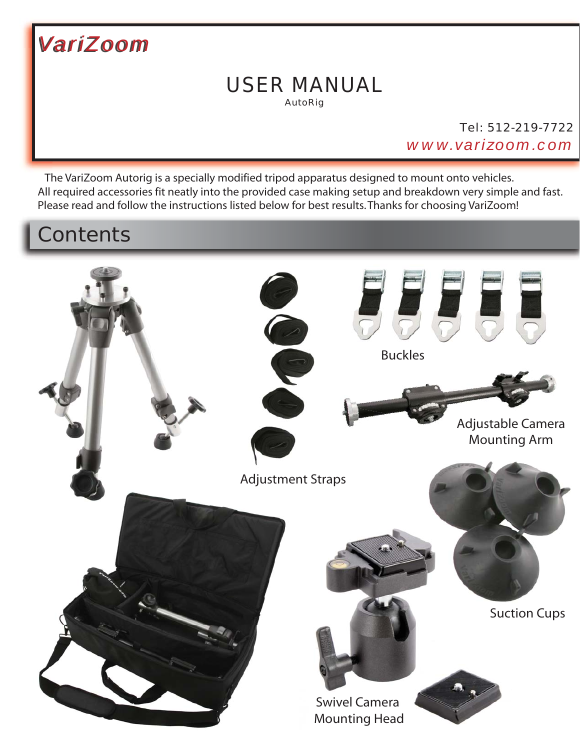

### AutoRig USER MANUAL

Tel: 512-219-7722 *www.varizoom.com*

 The VariZoom Autorig is a specially modified tripod apparatus designed to mount onto vehicles. All required accessories fit neatly into the provided case making setup and breakdown very simple and fast. Please read and follow the instructions listed below for best results. Thanks for choosing VariZoom!

# **Contents**